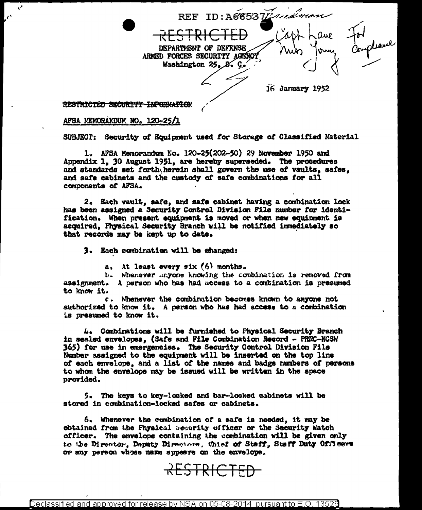REF ID: A685372/16 Prom DEPARTMENT OF DEFENSE ARMED FORCES SECURITY AGENCY Washington 25, B. C.  $16$  January 1952

RESTRICTED SECURITY INFORMATION

## AFSA MEMORANDUM NO. 120-25/1

¥,

 $\epsilon$ 

SUBJECT: Security of Equipment used for Storage of Classified Material

1. AFSA Memorandum No. 120-25(202-50) 29 November 1950 and Appendix 1, 30 August 1951, are hereby superseded. The procedures and standards set forth herein shall govern the use of vaults. safes. and safe cabinets and the custody of safe combinations for all components of AFSA.

2. Each vault, safe, and safe cabinet having a combination lock has been assigned a Security Control Division File number for identification. When present equipment is moved or when new equipment is acquired. Physical Security Branch will be notified immediately so that records may be kept up to date.

3. Each combination will be changed:

a. At least every six (6) months.

b. Whenever anyone knowing the combination is removed from assignment. A person who has had access to a combination is presumed to know it.

c. Whenever the combination becomes known to anyone not authorized to know it. A person who has had access to a combination is presumed to know it.

4. Combinations will be furnished to Physical Security Branch in sealed envelopes. (Safe and File Combination Record - PRNC-NCSW 365) for use in emergencies. The Security Control Division File Number assigned to the equipment will be inserted on the top line of each envelope, and a list of the names and badge numbers of persons to whom the envelope may be issued will be written in the space provided.

5. The keys to key-locked and bar-locked cabinets will be stored in combination-locked safes or cabinets.

6. Whenever the combination of a safe is needed, it may be obtained from the Physical Security officer or the Security Watch officer. The envelope containing the combination will be given only to the Director, Deputy Directors, Chief of Staff, Staff Duty Officers or any person whose name appears on the envelope.

RESTRICTED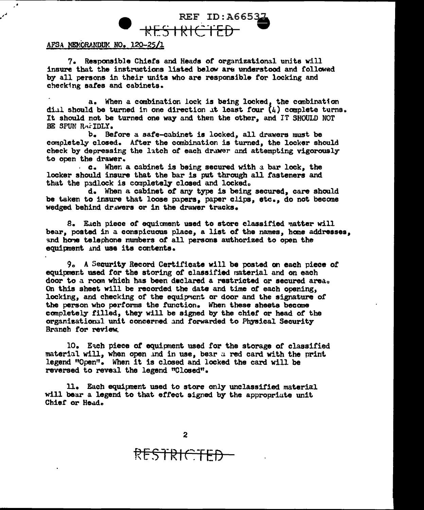## REF ID: A66532  $RFS + RIC$

## AFSA MEMORANDUM NO. 120-25/1

7. Responsible Chiefs and Heads of organizational units will insure that the instructions listed below are understood and followed by all persons in their units who are responsible tor locking and cheeking aarea and cabinets.

a. When a combination lock is being locked, the combination dial should be turned in one direction at least four  $(4)$  complete turns. It should not be turned one way and then the other, and IT SHOULD NOT BE SPUN RAFIDLY.

b. Betore a safe-cabinet is locked, all drawers must be completely closed. After the canbination is turned, the locker should check by depressing the latch of each drawer and attempting vigorously to open the drawer.

c. When a cabinet is being secured with a bar lock, the locker should insure that the bar is put through all fasteners and that the padlock is completely closed and locked.

d. When a cabinet ot any type is being secured, care should be taken to insure that loose papers, paper clips, etc., do not become wedged behind drawers or in the drawer tracks.

8. Each piece of equioment used to store classified matter will bear, posted in a conspicuous place, a list *ot* the names, heme addresses, and home telephone numbers of all persons authorized to open the equipnent ind use its contents.

*9o* A Security Record Certiricate will be posted on each piece or equipment used tor the storing *ot* classified material and on each door to a room which has been declared a restricted or secured area. On this sheet will be recorded the date and time or each opening, locking, and checking of the equipment or door and the signature of the person who pertorms the function. When these sheets beccme completely filled, they will be signed by the chief or head of the organizational unit concerned and forwarded to Physical Security Branch for review.

10. Each piece of equipment used for the storage of classified material will, when open and in use, bear  $a$  red card with the print legend "Open". When it is closed and locked the card will be reversed to reveal the legend "Closed"·

ll. Each equipment used to store only unclassified material will bear a legend to that effect signed by the appropriate unit Chief or Head.

RESTRI<del>CTED</del>